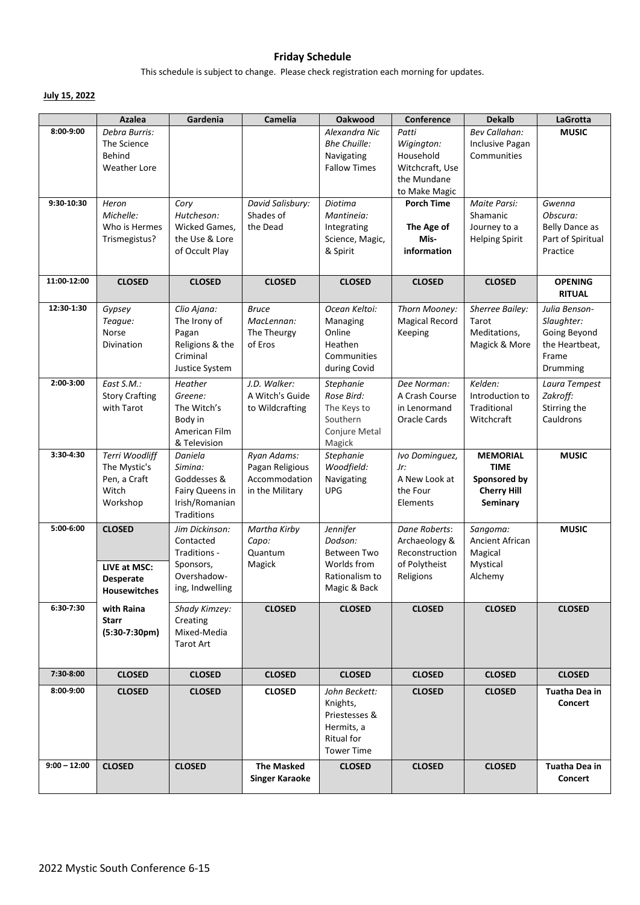# **Friday Schedule**

This schedule is subject to change. Please check registration each morning for updates.

## **July 15, 2022**

|                | Azalea                                                                   | Gardenia                                                                                    | Camelia                                                            | Oakwood                                                                                     | Conference                                                                          | <b>Dekalb</b>                                                                    | LaGrotta                                                                           |
|----------------|--------------------------------------------------------------------------|---------------------------------------------------------------------------------------------|--------------------------------------------------------------------|---------------------------------------------------------------------------------------------|-------------------------------------------------------------------------------------|----------------------------------------------------------------------------------|------------------------------------------------------------------------------------|
| 8:00-9:00      | Debra Burris:<br>The Science<br>Behind<br>Weather Lore                   |                                                                                             |                                                                    | Alexandra Nic<br><b>Bhe Chuille:</b><br>Navigating<br><b>Fallow Times</b>                   | Patti<br>Wigington:<br>Household<br>Witchcraft, Use<br>the Mundane<br>to Make Magic | <b>Bev Callahan:</b><br>Inclusive Pagan<br>Communities                           | <b>MUSIC</b>                                                                       |
| 9:30-10:30     | Heron<br>Michelle:<br>Who is Hermes<br>Trismegistus?                     | Cory<br>Hutcheson:<br>Wicked Games,<br>the Use & Lore<br>of Occult Play                     | David Salisbury:<br>Shades of<br>the Dead                          | Diotima<br>Mantineia:<br>Integrating<br>Science, Magic,<br>& Spirit                         | <b>Porch Time</b><br>The Age of<br>Mis-<br>information                              | Maite Parsi:<br>Shamanic<br>Journey to a<br><b>Helping Spirit</b>                | Gwenna<br>Obscura:<br>Belly Dance as<br>Part of Spiritual<br>Practice              |
| 11:00-12:00    | <b>CLOSED</b>                                                            | <b>CLOSED</b>                                                                               | <b>CLOSED</b>                                                      | <b>CLOSED</b>                                                                               | <b>CLOSED</b>                                                                       | <b>CLOSED</b>                                                                    | <b>OPENING</b><br><b>RITUAL</b>                                                    |
| 12:30-1:30     | Gypsey<br>Teague:<br>Norse<br>Divination                                 | Clio Ajana:<br>The Irony of<br>Pagan<br>Religions & the<br>Criminal<br>Justice System       | <b>Bruce</b><br>MacLennan:<br>The Theurgy<br>of Eros               | Ocean Keltoi:<br>Managing<br>Online<br>Heathen<br>Communities<br>during Covid               | Thorn Mooney:<br><b>Magical Record</b><br>Keeping                                   | Sherree Bailey:<br>Tarot<br>Meditations,<br>Magick & More                        | Julia Benson-<br>Slaughter:<br>Going Beyond<br>the Heartbeat,<br>Frame<br>Drumming |
| 2:00-3:00      | East S.M.:<br><b>Story Crafting</b><br>with Tarot                        | Heather<br>Greene:<br>The Witch's<br>Body in<br>American Film<br>& Television               | J.D. Walker:<br>A Witch's Guide<br>to Wildcrafting                 | Stephanie<br>Rose Bird:<br>The Keys to<br>Southern<br>Conjure Metal<br>Magick               | Dee Norman:<br>A Crash Course<br>in Lenormand<br>Oracle Cards                       | Kelden:<br>Introduction to<br>Traditional<br>Witchcraft                          | Laura Tempest<br>Zakroff:<br>Stirring the<br>Cauldrons                             |
| 3:30-4:30      | Terri Woodliff<br>The Mystic's<br>Pen, a Craft<br>Witch<br>Workshop      | Daniela<br>Simina:<br>Goddesses &<br>Fairy Queens in<br>Irish/Romanian<br><b>Traditions</b> | Ryan Adams:<br>Pagan Religious<br>Accommodation<br>in the Military | Stephanie<br>Woodfield:<br>Navigating<br><b>UPG</b>                                         | Ivo Dominguez,<br>Jr:<br>A New Look at<br>the Four<br>Elements                      | <b>MEMORIAL</b><br><b>TIME</b><br>Sponsored by<br><b>Cherry Hill</b><br>Seminary | <b>MUSIC</b>                                                                       |
| 5:00-6:00      | <b>CLOSED</b><br>LIVE at MSC:<br><b>Desperate</b><br><b>Housewitches</b> | Jim Dickinson:<br>Contacted<br>Traditions -<br>Sponsors,<br>Overshadow-<br>ing, Indwelling  | Martha Kirby<br>Capo:<br>Quantum<br>Magick                         | Jennifer<br>Dodson:<br>Between Two<br>Worlds from<br>Rationalism to<br>Magic & Back         | Dane Roberts:<br>Archaeology &<br>Reconstruction<br>of Polytheist<br>Religions      | Sangoma:<br>Ancient African<br>Magical<br>Mystical<br>Alchemy                    | <b>MUSIC</b>                                                                       |
| 6:30-7:30      | with Raina<br>Starr<br>$(5:30-7:30pm)$                                   | Shady Kimzey:<br>Creating<br>Mixed-Media<br>Tarot Art                                       | <b>CLOSED</b>                                                      | <b>CLOSED</b>                                                                               | <b>CLOSED</b>                                                                       | <b>CLOSED</b>                                                                    | <b>CLOSED</b>                                                                      |
| 7:30-8:00      | <b>CLOSED</b>                                                            | <b>CLOSED</b>                                                                               | <b>CLOSED</b>                                                      | <b>CLOSED</b>                                                                               | <b>CLOSED</b>                                                                       | <b>CLOSED</b>                                                                    | <b>CLOSED</b>                                                                      |
| 8:00-9:00      | <b>CLOSED</b>                                                            | <b>CLOSED</b>                                                                               | <b>CLOSED</b>                                                      | John Beckett:<br>Knights,<br>Priestesses &<br>Hermits, a<br>Ritual for<br><b>Tower Time</b> | <b>CLOSED</b>                                                                       | <b>CLOSED</b>                                                                    | Tuatha Dea in<br><b>Concert</b>                                                    |
| $9:00 - 12:00$ | <b>CLOSED</b>                                                            | <b>CLOSED</b>                                                                               | <b>The Masked</b><br><b>Singer Karaoke</b>                         | <b>CLOSED</b>                                                                               | <b>CLOSED</b>                                                                       | <b>CLOSED</b>                                                                    | Tuatha Dea in<br>Concert                                                           |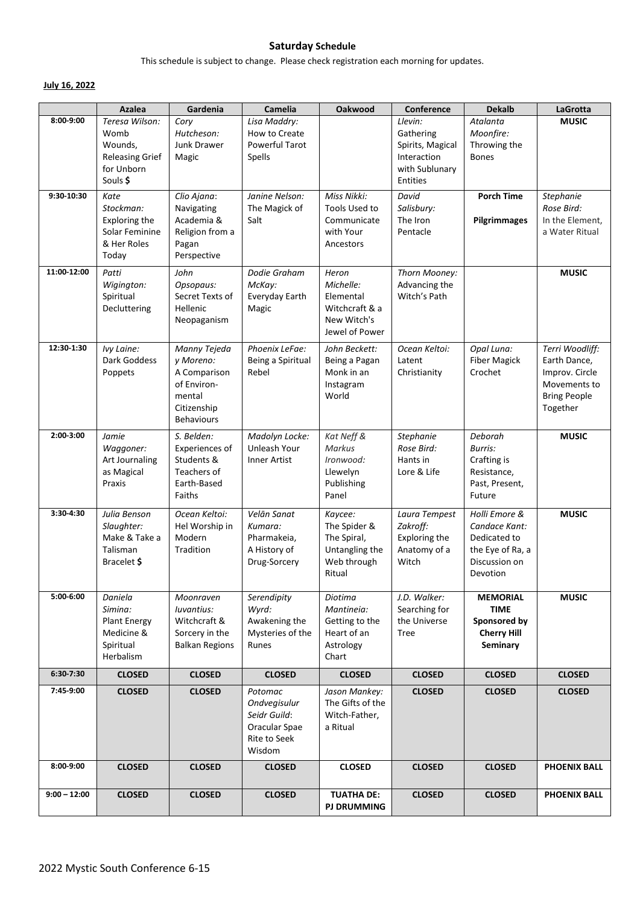#### **Saturday Schedule**

This schedule is subject to change. Please check registration each morning for updates.

### **July 16, 2022**

|                | <b>Azalea</b>                                                                         | Gardenia                                                                                               | Camelia                                                                            | Oakwood                                                                            | <b>Conference</b>                                                                            | <b>Dekalb</b>                                                                                   | <b>LaGrotta</b>                                                                                      |
|----------------|---------------------------------------------------------------------------------------|--------------------------------------------------------------------------------------------------------|------------------------------------------------------------------------------------|------------------------------------------------------------------------------------|----------------------------------------------------------------------------------------------|-------------------------------------------------------------------------------------------------|------------------------------------------------------------------------------------------------------|
| 8:00-9:00      | Teresa Wilson:<br>Womb<br>Wounds,<br><b>Releasing Grief</b><br>for Unborn<br>Souls \$ | Cory<br>Hutcheson:<br>Junk Drawer<br>Magic                                                             | Lisa Maddry:<br>How to Create<br>Powerful Tarot<br>Spells                          |                                                                                    | Llevin:<br>Gathering<br>Spirits, Magical<br>Interaction<br>with Sublunary<br><b>Entities</b> | Atalanta<br>Moonfire:<br>Throwing the<br><b>Bones</b>                                           | <b>MUSIC</b>                                                                                         |
| 9:30-10:30     | Kate<br>Stockman:<br>Exploring the<br>Solar Feminine<br>& Her Roles<br>Today          | Clio Ajana:<br>Navigating<br>Academia &<br>Religion from a<br>Pagan<br>Perspective                     | Janine Nelson:<br>The Magick of<br>Salt                                            | Miss Nikki:<br>Tools Used to<br>Communicate<br>with Your<br>Ancestors              | David<br>Salisbury:<br>The Iron<br>Pentacle                                                  | <b>Porch Time</b><br>Pilgrimmages                                                               | Stephanie<br>Rose Bird:<br>In the Element,<br>a Water Ritual                                         |
| 11:00-12:00    | Patti<br>Wigington:<br>Spiritual<br>Decluttering                                      | John<br>Opsopaus:<br>Secret Texts of<br>Hellenic<br>Neopaganism                                        | Dodie Graham<br>McKay:<br>Everyday Earth<br>Magic                                  | Heron<br>Michelle:<br>Elemental<br>Witchcraft & a<br>New Witch's<br>Jewel of Power | Thorn Mooney:<br>Advancing the<br>Witch's Path                                               |                                                                                                 | <b>MUSIC</b>                                                                                         |
| 12:30-1:30     | Ivy Laine:<br>Dark Goddess<br>Poppets                                                 | Manny Tejeda<br>y Moreno:<br>A Comparison<br>of Environ-<br>mental<br>Citizenship<br><b>Behaviours</b> | Phoenix LeFae:<br>Being a Spiritual<br>Rebel                                       | John Beckett:<br>Being a Pagan<br>Monk in an<br>Instagram<br>World                 | Ocean Keltoi:<br>Latent<br>Christianity                                                      | Opal Luna:<br><b>Fiber Magick</b><br>Crochet                                                    | Terri Woodliff:<br>Earth Dance,<br>Improv. Circle<br>Movements to<br><b>Bring People</b><br>Together |
| 2:00-3:00      | Jamie<br>Waggoner:<br>Art Journaling<br>as Magical<br>Praxis                          | S. Belden:<br>Experiences of<br>Students &<br>Teachers of<br>Earth-Based<br>Faiths                     | Madolyn Locke:<br>Unleash Your<br>Inner Artist                                     | Kat Neff &<br>Markus<br>Ironwood:<br>Llewelyn<br>Publishing<br>Panel               | Stephanie<br>Rose Bird:<br>Hants in<br>Lore & Life                                           | Deborah<br>Burris:<br>Crafting is<br>Resistance,<br>Past, Present,<br>Future                    | <b>MUSIC</b>                                                                                         |
| 3:30-4:30      | Julia Benson<br>Slaughter:<br>Make & Take a<br>Talisman<br>Bracelet \$                | Ocean Keltoi:<br>Hel Worship in<br>Modern<br>Tradition                                                 | Velān Sanat<br>Kumara:<br>Pharmakeia,<br>A History of<br>Drug-Sorcery              | Kaycee:<br>The Spider &<br>The Spiral,<br>Untangling the<br>Web through<br>Ritual  | Laura Tempest<br>Zakroff:<br>Exploring the<br>Anatomy of a<br>Witch                          | Holli Emore &<br>Candace Kant:<br>Dedicated to<br>the Eye of Ra, a<br>Discussion on<br>Devotion | <b>MUSIC</b>                                                                                         |
| 5:00-6:00      | Daniela<br>Simina:<br><b>Plant Energy</b><br>Medicine &<br>Spiritual<br>Herbalism     | Moonraven<br>luvantius:<br>Witchcraft &<br>Sorcery in the<br><b>Balkan Regions</b>                     | Serendipity<br>Wyrd:<br>Awakening the<br>Mysteries of the<br>Runes                 | Diotima<br>Mantineia:<br>Getting to the<br>Heart of an<br>Astrology<br>Chart       | J.D. Walker:<br>Searching for<br>the Universe<br><b>Tree</b>                                 | <b>MEMORIAL</b><br><b>TIME</b><br>Sponsored by<br><b>Cherry Hill</b><br>Seminary                | <b>MUSIC</b>                                                                                         |
| 6:30-7:30      | <b>CLOSED</b>                                                                         | <b>CLOSED</b>                                                                                          | <b>CLOSED</b>                                                                      | <b>CLOSED</b>                                                                      | <b>CLOSED</b>                                                                                | <b>CLOSED</b>                                                                                   | <b>CLOSED</b>                                                                                        |
| 7:45-9:00      | <b>CLOSED</b>                                                                         | <b>CLOSED</b>                                                                                          | Potomac<br>Ondvegisulur<br>Seidr Guild:<br>Oracular Spae<br>Rite to Seek<br>Wisdom | Jason Mankey:<br>The Gifts of the<br>Witch-Father,<br>a Ritual                     | <b>CLOSED</b>                                                                                | <b>CLOSED</b>                                                                                   | <b>CLOSED</b>                                                                                        |
| 8:00-9:00      | <b>CLOSED</b>                                                                         | <b>CLOSED</b>                                                                                          | <b>CLOSED</b>                                                                      | <b>CLOSED</b>                                                                      | <b>CLOSED</b>                                                                                | <b>CLOSED</b>                                                                                   | <b>PHOENIX BALL</b>                                                                                  |
| $9:00 - 12:00$ | <b>CLOSED</b>                                                                         | <b>CLOSED</b>                                                                                          | <b>CLOSED</b>                                                                      | <b>TUATHA DE:</b><br><b>PJ DRUMMING</b>                                            | <b>CLOSED</b>                                                                                | <b>CLOSED</b>                                                                                   | <b>PHOENIX BALL</b>                                                                                  |